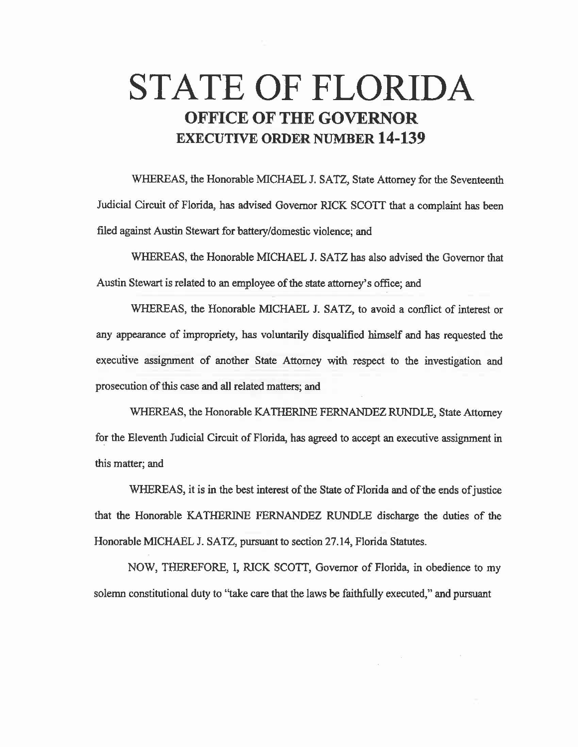# **STATE OF FLORIDA OFFICE OF THE GOVERNOR EXECUTIVE ORDER NUMBER 14-139**

WHEREAS, the Honorable MICHAEL J. SATZ, State Attorney for the Seventeenth Judicial Circuit of Florida, has advised Governor RICK SCOTT that a complaint has been filed against Austin Stewart for battery/domestic violence; and

WHEREAS, the Honorable MICHAEL J. SATZ has also advised the Governor that Austin Stewart is related to an employee of the state attorney's office; and

WHEREAS, the Honorable MICHAEL J. SATZ, to avoid a conflict of interest or any appearance of impropriety, has voluntarily disqualified himself and has requested the executive assignment of another State Attorney with respect to the investigation and prosecution of this case and all related matters; and

WHEREAS, the Honorable KA THERINE FERNANDEZ RUNDLE, State Attorney for the Eleventh Judicial Circuit of Florida, has agreed to accept an executive assignment in this matter; and

WHEREAS, it is in the best interest of the State of Florida and of the ends of justice that the Honorable KA THERINE FERNANDEZ RUNDLE discharge the duties of the Honorable MICHAEL J. SATZ, pursuant to section 27.14, Florida Statutes.

NOW, THEREFORE, I, RICK SCOTT, Governor of Florida, in obedience to my solemn constitutional duty to "take care that the laws be faithfully executed," and pursuant

 $\sim 25$ 

 $\langle \phi \rangle$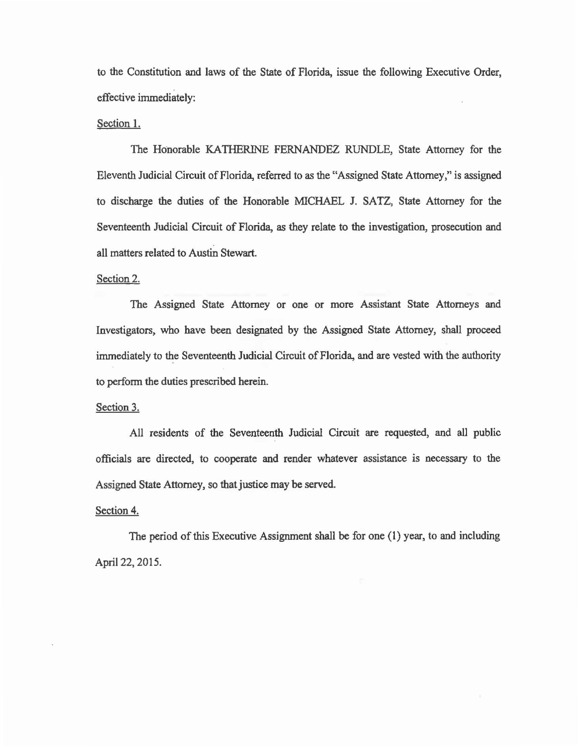to the Constitution and laws of the State of Florida, issue the following Executive Order, effective immediately:

# Section 1.

The Honorable KATHERINE FERNANDEZ RUNDLE, State Attorney for the Eleventh Judicial Circuit of Florida, referred to as the "Assigned State Attorney," is assigned to discharge the duties of the Honorable MICHAEL J. SATZ, State Attorney for the Seventeenth Judicial Circuit of Florida, as they relate to the investigation, prosecution and all matters related to Austin Stewart.

#### Section 2.

The Assigned State Attorney or one or more Assistant State Attorneys and Investigators, who have been designated by the Assigned State Attorney, shall proceed immediately to the Seventeenth Judicial Circuit of Florida, and are vested with the authority to perform the duties prescribed herein.

# Section 3.

All residents of the Seventeenth Judicial Circuit are requested, and all public officials are directed, to cooperate and render whatever assistance is necessary to the Assigned State Attorney, so that justice may be served.

# Section 4.

The period of this Executive Assignment shall be for one (1) year, to and including April 22, 2015.